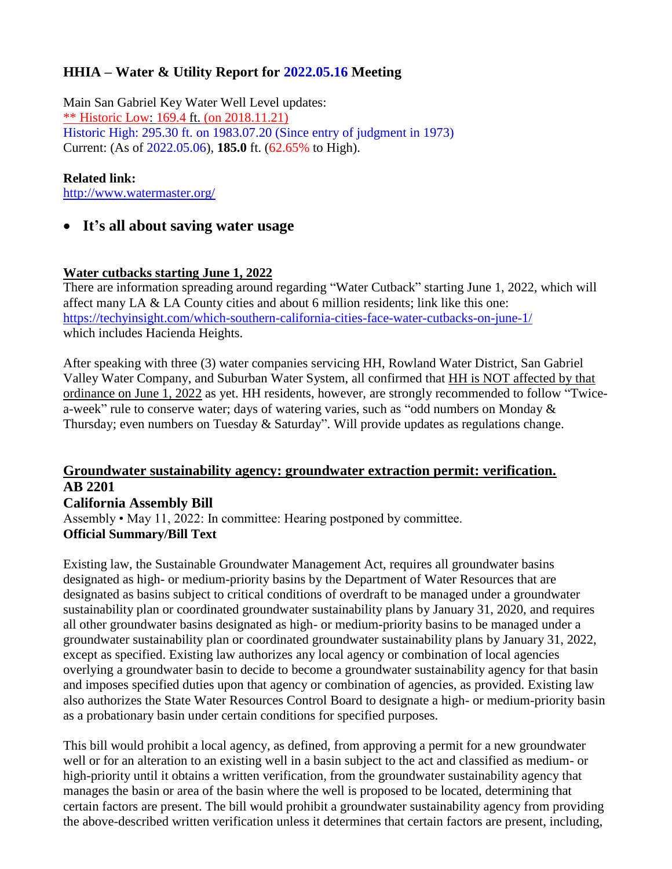# **HHIA – Water & Utility Report for 2022.05.16 Meeting**

Main San Gabriel Key Water Well Level updates: \*\* Historic Low: 169.4 ft. (on 2018.11.21) Historic High: 295.30 ft. on 1983.07.20 (Since entry of judgment in 1973) Current: (As of 2022.05.06), **185.0** ft. (62.65% to High).

#### **Related link:**

<http://www.watermaster.org/>

## **It's all about saving water usage**

#### **Water cutbacks starting June 1, 2022**

There are information spreading around regarding "Water Cutback" starting June 1, 2022, which will affect many LA & LA County cities and about 6 million residents; link like this one: <https://techyinsight.com/which-southern-california-cities-face-water-cutbacks-on-june-1/> which includes Hacienda Heights.

After speaking with three (3) water companies servicing HH, Rowland Water District, San Gabriel Valley Water Company, and Suburban Water System, all confirmed that HH is NOT affected by that ordinance on June 1, 2022 as yet. HH residents, however, are strongly recommended to follow "Twicea-week" rule to conserve water; days of watering varies, such as "odd numbers on Monday & Thursday; even numbers on Tuesday & Saturday". Will provide updates as regulations change.

# **Groundwater sustainability agency: groundwater extraction permit: verification. AB 2201 California Assembly Bill**

Assembly • May 11, 2022: In committee: Hearing postponed by committee. **Official Summary/Bill Text**

Existing law, the Sustainable Groundwater Management Act, requires all groundwater basins designated as high- or medium-priority basins by the Department of Water Resources that are designated as basins subject to critical conditions of overdraft to be managed under a groundwater sustainability plan or coordinated groundwater sustainability plans by January 31, 2020, and requires all other groundwater basins designated as high- or medium-priority basins to be managed under a groundwater sustainability plan or coordinated groundwater sustainability plans by January 31, 2022, except as specified. Existing law authorizes any local agency or combination of local agencies overlying a groundwater basin to decide to become a groundwater sustainability agency for that basin and imposes specified duties upon that agency or combination of agencies, as provided. Existing law also authorizes the State Water Resources Control Board to designate a high- or medium-priority basin as a probationary basin under certain conditions for specified purposes.

This bill would prohibit a local agency, as defined, from approving a permit for a new groundwater well or for an alteration to an existing well in a basin subject to the act and classified as medium- or high-priority until it obtains a written verification, from the groundwater sustainability agency that manages the basin or area of the basin where the well is proposed to be located, determining that certain factors are present. The bill would prohibit a groundwater sustainability agency from providing the above-described written verification unless it determines that certain factors are present, including,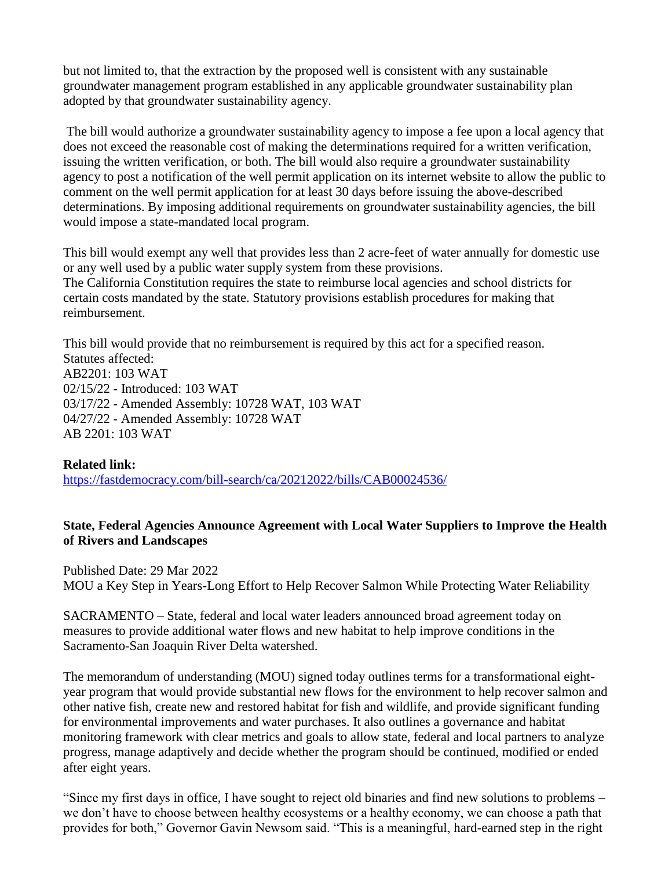but not limited to, that the extraction by the proposed well is consistent with any sustainable groundwater management program established in any applicable groundwater sustainability plan adopted by that groundwater sustainability agency.

The bill would authorize a groundwater sustainability agency to impose a fee upon a local agency that does not exceed the reasonable cost of making the determinations required for a written verification, issuing the written verification, or both. The bill would also require a groundwater sustainability agency to post a notification of the well permit application on its internet website to allow the public to comment on the well permit application for at least 30 days before issuing the above-described determinations. By imposing additional requirements on groundwater sustainability agencies, the bill would impose a state-mandated local program.

This bill would exempt any well that provides less than 2 acre-feet of water annually for domestic use or any well used by a public water supply system from these provisions. The California Constitution requires the state to reimburse local agencies and school districts for certain costs mandated by the state. Statutory provisions establish procedures for making that reimbursement.

This bill would provide that no reimbursement is required by this act for a specified reason. Statutes affected: AB2201: 103 WAT 02/15/22 - Introduced: 103 WAT 03/17/22 - Amended Assembly: 10728 WAT, 103 WAT 04/27/22 - Amended Assembly: 10728 WAT AB 2201: 103 WAT

#### **Related link:**

<https://fastdemocracy.com/bill-search/ca/20212022/bills/CAB00024536/>

#### **State, Federal Agencies Announce Agreement with Local Water Suppliers to Improve the Health of Rivers and Landscapes**

Published Date: 29 Mar 2022 MOU a Key Step in Years-Long Effort to Help Recover Salmon While Protecting Water Reliability

SACRAMENTO – State, federal and local water leaders announced broad agreement today on measures to provide additional water flows and new habitat to help improve conditions in the Sacramento-San Joaquin River Delta watershed.

The memorandum of understanding (MOU) signed today outlines terms for a transformational eightyear program that would provide substantial new flows for the environment to help recover salmon and other native fish, create new and restored habitat for fish and wildlife, and provide significant funding for environmental improvements and water purchases. It also outlines a governance and habitat monitoring framework with clear metrics and goals to allow state, federal and local partners to analyze progress, manage adaptively and decide whether the program should be continued, modified or ended after eight years.

"Since my first days in office, I have sought to reject old binaries and find new solutions to problems – we don't have to choose between healthy ecosystems or a healthy economy, we can choose a path that provides for both," Governor Gavin Newsom said. "This is a meaningful, hard-earned step in the right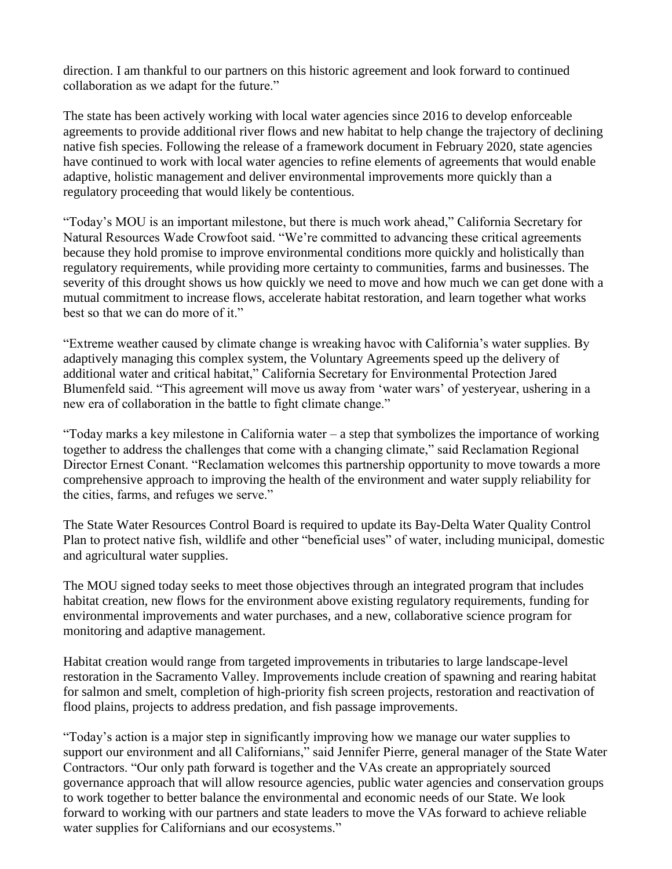direction. I am thankful to our partners on this historic agreement and look forward to continued collaboration as we adapt for the future."

The state has been actively working with local water agencies since 2016 to develop enforceable agreements to provide additional river flows and new habitat to help change the trajectory of declining native fish species. Following the release of a framework document in February 2020, state agencies have continued to work with local water agencies to refine elements of agreements that would enable adaptive, holistic management and deliver environmental improvements more quickly than a regulatory proceeding that would likely be contentious.

"Today's MOU is an important milestone, but there is much work ahead," California Secretary for Natural Resources Wade Crowfoot said. "We're committed to advancing these critical agreements because they hold promise to improve environmental conditions more quickly and holistically than regulatory requirements, while providing more certainty to communities, farms and businesses. The severity of this drought shows us how quickly we need to move and how much we can get done with a mutual commitment to increase flows, accelerate habitat restoration, and learn together what works best so that we can do more of it."

"Extreme weather caused by climate change is wreaking havoc with California's water supplies. By adaptively managing this complex system, the Voluntary Agreements speed up the delivery of additional water and critical habitat," California Secretary for Environmental Protection Jared Blumenfeld said. "This agreement will move us away from 'water wars' of yesteryear, ushering in a new era of collaboration in the battle to fight climate change."

"Today marks a key milestone in California water – a step that symbolizes the importance of working together to address the challenges that come with a changing climate," said Reclamation Regional Director Ernest Conant. "Reclamation welcomes this partnership opportunity to move towards a more comprehensive approach to improving the health of the environment and water supply reliability for the cities, farms, and refuges we serve."

The State Water Resources Control Board is required to update its Bay-Delta Water Quality Control Plan to protect native fish, wildlife and other "beneficial uses" of water, including municipal, domestic and agricultural water supplies.

The MOU signed today seeks to meet those objectives through an integrated program that includes habitat creation, new flows for the environment above existing regulatory requirements, funding for environmental improvements and water purchases, and a new, collaborative science program for monitoring and adaptive management.

Habitat creation would range from targeted improvements in tributaries to large landscape-level restoration in the Sacramento Valley. Improvements include creation of spawning and rearing habitat for salmon and smelt, completion of high-priority fish screen projects, restoration and reactivation of flood plains, projects to address predation, and fish passage improvements.

"Today's action is a major step in significantly improving how we manage our water supplies to support our environment and all Californians," said Jennifer Pierre, general manager of the State Water Contractors. "Our only path forward is together and the VAs create an appropriately sourced governance approach that will allow resource agencies, public water agencies and conservation groups to work together to better balance the environmental and economic needs of our State. We look forward to working with our partners and state leaders to move the VAs forward to achieve reliable water supplies for Californians and our ecosystems."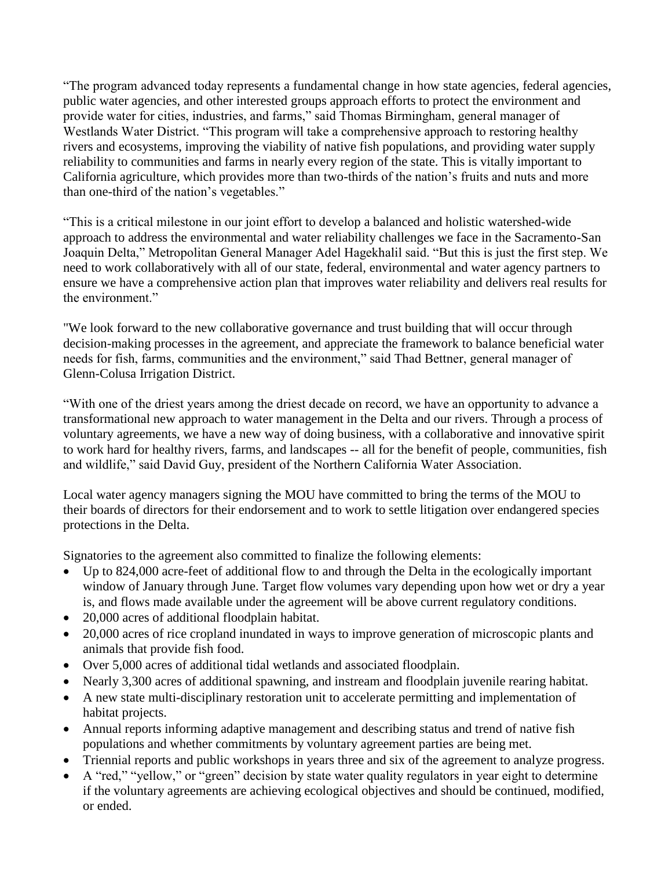"The program advanced today represents a fundamental change in how state agencies, federal agencies, public water agencies, and other interested groups approach efforts to protect the environment and provide water for cities, industries, and farms," said Thomas Birmingham, general manager of Westlands Water District. "This program will take a comprehensive approach to restoring healthy rivers and ecosystems, improving the viability of native fish populations, and providing water supply reliability to communities and farms in nearly every region of the state. This is vitally important to California agriculture, which provides more than two-thirds of the nation's fruits and nuts and more than one-third of the nation's vegetables."

"This is a critical milestone in our joint effort to develop a balanced and holistic watershed-wide approach to address the environmental and water reliability challenges we face in the Sacramento-San Joaquin Delta," Metropolitan General Manager Adel Hagekhalil said. "But this is just the first step. We need to work collaboratively with all of our state, federal, environmental and water agency partners to ensure we have a comprehensive action plan that improves water reliability and delivers real results for the environment."

"We look forward to the new collaborative governance and trust building that will occur through decision-making processes in the agreement, and appreciate the framework to balance beneficial water needs for fish, farms, communities and the environment," said Thad Bettner, general manager of Glenn-Colusa Irrigation District.

"With one of the driest years among the driest decade on record, we have an opportunity to advance a transformational new approach to water management in the Delta and our rivers. Through a process of voluntary agreements, we have a new way of doing business, with a collaborative and innovative spirit to work hard for healthy rivers, farms, and landscapes -- all for the benefit of people, communities, fish and wildlife," said David Guy, president of the Northern California Water Association.

Local water agency managers signing the MOU have committed to bring the terms of the MOU to their boards of directors for their endorsement and to work to settle litigation over endangered species protections in the Delta.

Signatories to the agreement also committed to finalize the following elements:

- Up to 824,000 acre-feet of additional flow to and through the Delta in the ecologically important window of January through June. Target flow volumes vary depending upon how wet or dry a year is, and flows made available under the agreement will be above current regulatory conditions.
- 20,000 acres of additional floodplain habitat.
- 20,000 acres of rice cropland inundated in ways to improve generation of microscopic plants and animals that provide fish food.
- Over 5,000 acres of additional tidal wetlands and associated floodplain.
- Nearly 3,300 acres of additional spawning, and instream and floodplain juvenile rearing habitat.
- A new state multi-disciplinary restoration unit to accelerate permitting and implementation of habitat projects.
- Annual reports informing adaptive management and describing status and trend of native fish populations and whether commitments by voluntary agreement parties are being met.
- Triennial reports and public workshops in years three and six of the agreement to analyze progress.
- A "red," "yellow," or "green" decision by state water quality regulators in year eight to determine if the voluntary agreements are achieving ecological objectives and should be continued, modified, or ended.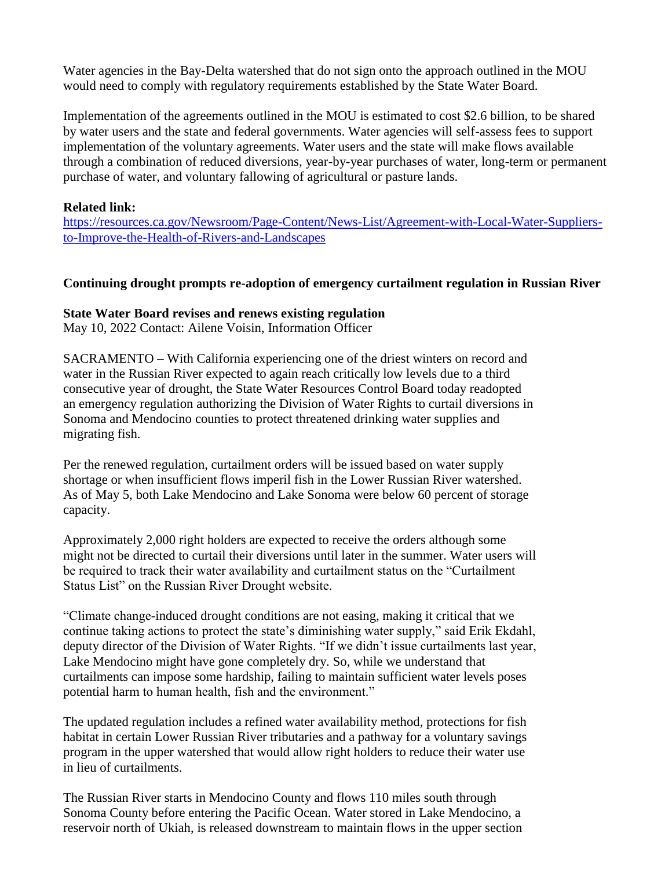Water agencies in the Bay-Delta watershed that do not sign onto the approach outlined in the MOU would need to comply with regulatory requirements established by the State Water Board.

Implementation of the agreements outlined in the MOU is estimated to cost \$2.6 billion, to be shared by water users and the state and federal governments. Water agencies will self-assess fees to support implementation of the voluntary agreements. Water users and the state will make flows available through a combination of reduced diversions, year-by-year purchases of water, long-term or permanent purchase of water, and voluntary fallowing of agricultural or pasture lands.

#### **Related link:**

[https://resources.ca.gov/Newsroom/Page-Content/News-List/Agreement-with-Local-Water-Suppliers](https://resources.ca.gov/Newsroom/Page-Content/News-List/Agreement-with-Local-Water-Suppliers-to-Improve-the-Health-of-Rivers-and-Landscapes)[to-Improve-the-Health-of-Rivers-and-Landscapes](https://resources.ca.gov/Newsroom/Page-Content/News-List/Agreement-with-Local-Water-Suppliers-to-Improve-the-Health-of-Rivers-and-Landscapes)

#### **Continuing drought prompts re-adoption of emergency curtailment regulation in Russian River**

#### **State Water Board revises and renews existing regulation**

May 10, 2022 Contact: Ailene Voisin, Information Officer

SACRAMENTO – With California experiencing one of the driest winters on record and water in the Russian River expected to again reach critically low levels due to a third consecutive year of drought, the State Water Resources Control Board today readopted an emergency regulation authorizing the Division of Water Rights to curtail diversions in Sonoma and Mendocino counties to protect threatened drinking water supplies and migrating fish.

Per the renewed regulation, curtailment orders will be issued based on water supply shortage or when insufficient flows imperil fish in the Lower Russian River watershed. As of May 5, both Lake Mendocino and Lake Sonoma were below 60 percent of storage capacity.

Approximately 2,000 right holders are expected to receive the orders although some might not be directed to curtail their diversions until later in the summer. Water users will be required to track their water availability and curtailment status on the "Curtailment Status List" on the Russian River Drought website.

"Climate change-induced drought conditions are not easing, making it critical that we continue taking actions to protect the state's diminishing water supply," said Erik Ekdahl, deputy director of the Division of Water Rights. "If we didn't issue curtailments last year, Lake Mendocino might have gone completely dry. So, while we understand that curtailments can impose some hardship, failing to maintain sufficient water levels poses potential harm to human health, fish and the environment."

The updated regulation includes a refined water availability method, protections for fish habitat in certain Lower Russian River tributaries and a pathway for a voluntary savings program in the upper watershed that would allow right holders to reduce their water use in lieu of curtailments.

The Russian River starts in Mendocino County and flows 110 miles south through Sonoma County before entering the Pacific Ocean. Water stored in Lake Mendocino, a reservoir north of Ukiah, is released downstream to maintain flows in the upper section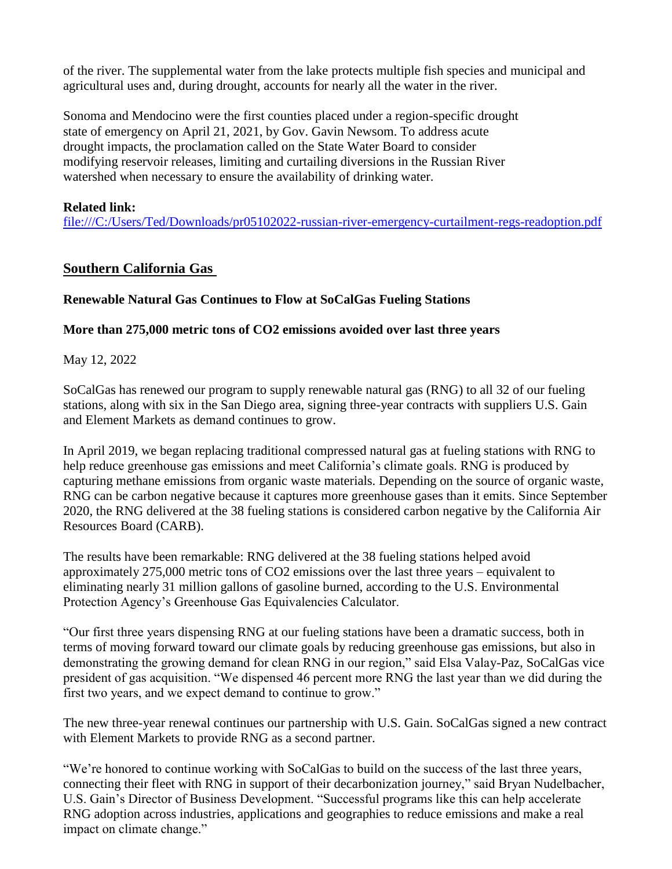of the river. The supplemental water from the lake protects multiple fish species and municipal and agricultural uses and, during drought, accounts for nearly all the water in the river.

Sonoma and Mendocino were the first counties placed under a region-specific drought state of emergency on April 21, 2021, by Gov. Gavin Newsom. To address acute drought impacts, the proclamation called on the State Water Board to consider modifying reservoir releases, limiting and curtailing diversions in the Russian River watershed when necessary to ensure the availability of drinking water.

#### **Related link:**

<file:///C:/Users/Ted/Downloads/pr05102022-russian-river-emergency-curtailment-regs-readoption.pdf>

# **Southern California Gas**

## **Renewable Natural Gas Continues to Flow at SoCalGas Fueling Stations**

## **More than 275,000 metric tons of CO2 emissions avoided over last three years**

May 12, 2022

SoCalGas has renewed our program to supply renewable natural gas (RNG) to all 32 of our fueling stations, along with six in the San Diego area, signing three-year contracts with suppliers U.S. Gain and Element Markets as demand continues to grow.

In April 2019, we began replacing traditional compressed natural gas at fueling stations with RNG to help reduce greenhouse gas emissions and meet California's climate goals. RNG is produced by capturing methane emissions from organic waste materials. Depending on the source of organic waste, RNG can be carbon negative because it captures more greenhouse gases than it emits. Since September 2020, the RNG delivered at the 38 fueling stations is considered carbon negative by the California Air Resources Board (CARB).

The results have been remarkable: RNG delivered at the 38 fueling stations helped avoid approximately 275,000 metric tons of CO2 emissions over the last three years – equivalent to eliminating nearly 31 million gallons of gasoline burned, according to the U.S. Environmental Protection Agency's Greenhouse Gas Equivalencies Calculator.

"Our first three years dispensing RNG at our fueling stations have been a dramatic success, both in terms of moving forward toward our climate goals by reducing greenhouse gas emissions, but also in demonstrating the growing demand for clean RNG in our region," said Elsa Valay-Paz, SoCalGas vice president of gas acquisition. "We dispensed 46 percent more RNG the last year than we did during the first two years, and we expect demand to continue to grow."

The new three-year renewal continues our partnership with U.S. Gain. SoCalGas signed a new contract with Element Markets to provide RNG as a second partner.

"We're honored to continue working with SoCalGas to build on the success of the last three years, connecting their fleet with RNG in support of their decarbonization journey," said Bryan Nudelbacher, U.S. Gain's Director of Business Development. "Successful programs like this can help accelerate RNG adoption across industries, applications and geographies to reduce emissions and make a real impact on climate change."